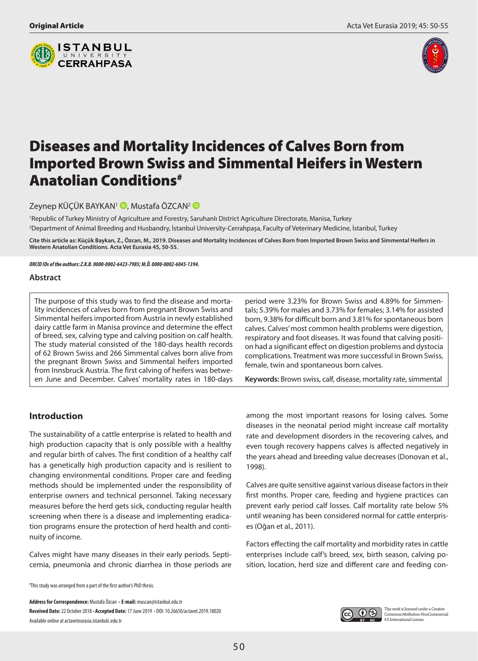



# Diseases and Mortality Incidences of Calves Born from Imported Brown Swiss and Simmental Heifers in Western Anatolian Conditions#

Zeynep KÜÇÜK BAYKAN<sup>1</sup> D[,](http://orcid.org/0000-0002-6423-7985) Mustafa ÖZCAN<sup>2</sup> D

1 Republic of Turkey Ministry of Agriculture and Forestry, Saruhanlı District Agriculture Directorate, Manisa, Turkey 2 Department of Animal Breeding and Husbandry, İstanbul University-Cerrahpaşa, Faculty of Veterinary Medicine, İstanbul, Turkey

**Cite this article as: Küçük Baykan, Z., Özcan, M., 2019. Diseases and Mortality Incidences of Calves Born from Imported Brown Swiss and Simmental Heifers in Western Anatolian Conditions. Acta Vet Eurasia 45, 50-55.**

*ORCID IDs of the authors: Z.K.B. 0000-0002-6423-7985; M.Ö. 0000-0002-6045-1394.*

#### **Abstract**

The purpose of this study was to find the disease and mortality incidences of calves born from pregnant Brown Swiss and Simmental heifers imported from Austria in newly established dairy cattle farm in Manisa province and determine the effect of breed, sex, calving type and calving position on calf health. The study material consisted of the 180-days health records of 62 Brown Swiss and 266 Simmental calves born alive from the pregnant Brown Swiss and Simmental heifers imported from Innsbruck Austria. The first calving of heifers was between June and December. Calves' mortality rates in 180-days

# **Introduction**

The sustainability of a cattle enterprise is related to health and high production capacity that is only possible with a healthy and regular birth of calves. The first condition of a healthy calf has a genetically high production capacity and is resilient to changing environmental conditions. Proper care and feeding methods should be implemented under the responsibility of enterprise owners and technical personnel. Taking necessary measures before the herd gets sick, conducting regular health screening when there is a disease and implementing eradication programs ensure the protection of herd health and continuity of income.

Calves might have many diseases in their early periods. Septicemia, pneumonia and chronic diarrhea in those periods are

# This study was arranged from a part of the first author's PhD thesis.

**Address for Correspondence:** Mustafa Özcan • **E-mail:** muscan@istanbul.edu.tr **Received Date:** 22 October 2018 • **Accepted Date:** 17 June 2019 • DOI: 10.26650/actavet.2019.18020 Available online at actaveteurasia.istanbulc.edu.tr

period were 3.23% for Brown Swiss and 4.89% for Simmentals; 5.39% for males and 3.73% for females; 3.14% for assisted born, 9.38% for difficult born and 3.81% for spontaneous born calves. Calves' most common health problems were digestion, respiratory and foot diseases. It was found that calving position had a significant effect on digestion problems and dystocia complications. Treatment was more successful in Brown Swiss, female, twin and spontaneous born calves.

**Keywords:** Brown swiss, calf, disease, mortality rate, simmental

among the most important reasons for losing calves. Some diseases in the neonatal period might increase calf mortality rate and development disorders in the recovering calves, and even tough recovery happens calves is affected negatively in the years ahead and breeding value decreases (Donovan et al., 1998).

Calves are quite sensitive against various disease factors in their first months. Proper care, feeding and hygiene practices can prevent early period calf losses. Calf mortality rate below 5% until weaning has been considered normal for cattle enterprises (Oğan et al., 2011).

Factors effecting the calf mortality and morbidity rates in cattle enterprises include calf's breed, sex, birth season, calving position, location, herd size and different care and feeding con-

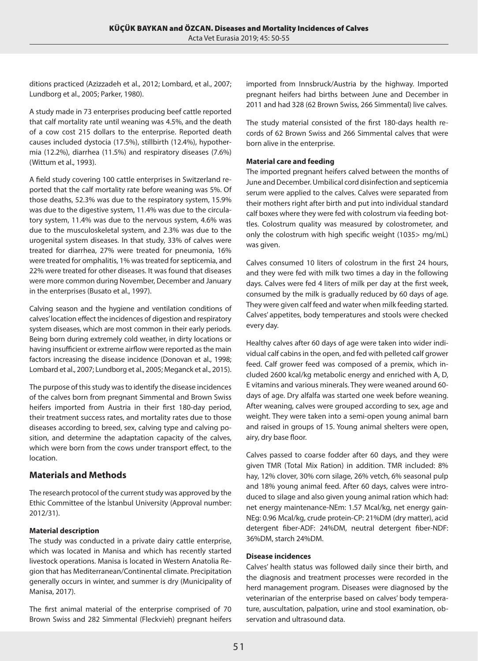ditions practiced (Azizzadeh et al., 2012; Lombard, et al., 2007; Lundborg et al., 2005; Parker, 1980).

A study made in 73 enterprises producing beef cattle reported that calf mortality rate until weaning was 4.5%, and the death of a cow cost 215 dollars to the enterprise. Reported death causes included dystocia (17.5%), stillbirth (12.4%), hypothermia (12.2%), diarrhea (11.5%) and respiratory diseases (7.6%) (Wittum et al., 1993).

A field study covering 100 cattle enterprises in Switzerland reported that the calf mortality rate before weaning was 5%. Of those deaths, 52.3% was due to the respiratory system, 15.9% was due to the digestive system, 11.4% was due to the circulatory system, 11.4% was due to the nervous system, 4.6% was due to the musculoskeletal system, and 2.3% was due to the urogenital system diseases. In that study, 33% of calves were treated for diarrhea, 27% were treated for pneumonia, 16% were treated for omphalitis, 1% was treated for septicemia, and 22% were treated for other diseases. It was found that diseases were more common during November, December and January in the enterprises (Busato et al., 1997).

Calving season and the hygiene and ventilation conditions of calves' location effect the incidences of digestion and respiratory system diseases, which are most common in their early periods. Being born during extremely cold weather, in dirty locations or having insufficient or extreme airflow were reported as the main factors increasing the disease incidence (Donovan et al., 1998; Lombard et al., 2007; Lundborg et al., 2005; Meganck et al., 2015).

The purpose of this study was to identify the disease incidences of the calves born from pregnant Simmental and Brown Swiss heifers imported from Austria in their first 180-day period, their treatment success rates, and mortality rates due to those diseases according to breed, sex, calving type and calving position, and determine the adaptation capacity of the calves, which were born from the cows under transport effect, to the location.

## **Materials and Methods**

The research protocol of the current study was approved by the Ethic Committee of the İstanbul University (Approval number: 2012/31).

#### **Material description**

The study was conducted in a private dairy cattle enterprise, which was located in Manisa and which has recently started livestock operations. Manisa is located in Western Anatolia Region that has Mediterranean/Continental climate. Precipitation generally occurs in winter, and summer is dry (Municipality of Manisa, 2017).

The first animal material of the enterprise comprised of 70 Brown Swiss and 282 Simmental (Fleckvieh) pregnant heifers imported from Innsbruck/Austria by the highway. Imported pregnant heifers had births between June and December in 2011 and had 328 (62 Brown Swiss, 266 Simmental) live calves.

The study material consisted of the first 180-days health records of 62 Brown Swiss and 266 Simmental calves that were born alive in the enterprise.

#### **Material care and feeding**

The imported pregnant heifers calved between the months of June and December. Umbilical cord disinfection and septicemia serum were applied to the calves. Calves were separated from their mothers right after birth and put into individual standard calf boxes where they were fed with colostrum via feeding bottles. Colostrum quality was measured by colostrometer, and only the colostrum with high specific weight (1035> mg/mL) was given.

Calves consumed 10 liters of colostrum in the first 24 hours, and they were fed with milk two times a day in the following days. Calves were fed 4 liters of milk per day at the first week, consumed by the milk is gradually reduced by 60 days of age. They were given calf feed and water when milk feeding started. Calves' appetites, body temperatures and stools were checked every day.

Healthy calves after 60 days of age were taken into wider individual calf cabins in the open, and fed with pelleted calf grower feed. Calf grower feed was composed of a premix, which included 2600 kcal/kg metabolic energy and enriched with A, D, E vitamins and various minerals. They were weaned around 60 days of age. Dry alfalfa was started one week before weaning. After weaning, calves were grouped according to sex, age and weight. They were taken into a semi-open young animal barn and raised in groups of 15. Young animal shelters were open, airy, dry base floor.

Calves passed to coarse fodder after 60 days, and they were given TMR (Total Mix Ration) in addition. TMR included: 8% hay, 12% clover, 30% corn silage, 26% vetch, 6% seasonal pulp and 18% young animal feed. After 60 days, calves were introduced to silage and also given young animal ration which had: net energy maintenance-NEm: 1.57 Mcal/kg, net energy gain-NEg: 0.96 Mcal/kg, crude protein-CP: 21%DM (dry matter), acid detergent fiber-ADF: 24%DM, neutral detergent fiber-NDF: 36%DM, starch 24%DM.

#### **Disease incidences**

Calves' health status was followed daily since their birth, and the diagnosis and treatment processes were recorded in the herd management program. Diseases were diagnosed by the veterinarian of the enterprise based on calves' body temperature, auscultation, palpation, urine and stool examination, observation and ultrasound data.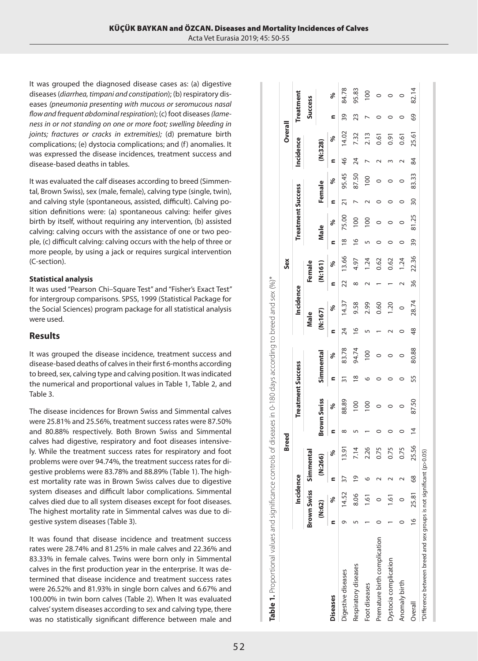It was grouped the diagnosed disease cases as: (a) digestive diseases (*diarrhea, timpani and constipation*); (b) respiratory diseases *(pneumonia presenting with mucous or seromucous nasal flow and frequent abdominal respiration*); (c) foot diseases *(lameness in or not standing on one or more foot; swelling bleeding in joints; fractures or cracks in extremities);* (d) premature birth complications; (e) dystocia complications; and (f) anomalies. It was expressed the disease incidences, treatment success and disease-based deaths in tables.

It was evaluated the calf diseases according to breed (Simmental, Brown Swiss), sex (male, female), calving type (single, twin), and calving style (spontaneous, assisted, difficult). Calving position definitions were: (a) spontaneous calving: heifer gives birth by itself, without requiring any intervention, (b) assisted calving: calving occurs with the assistance of one or two people, (c) difficult calving: calving occurs with the help of three or more people, by using a jack or requires surgical intervention (C-section).

#### **Statistical analysis**

It was used "Pearson Chi–Square Test" and "Fisher's Exact Test" for intergroup comparisons. SPSS, 1999 (Statistical Package for the Social Sciences) program package for all statistical analysis were used.

# **Results**

It was grouped the disease incidence, treatment success and disease-based deaths of calves in their first 6-months according to breed, sex, calving type and calving position. It was indicated the numerical and proportional values in Table 1, Table 2, and Table 3.

The disease incidences for Brown Swiss and Simmental calves were 25.81% and 25.56%, treatment success rates were 87.50% and 80.88% respectively. Both Brown Swiss and Simmental calves had digestive, respiratory and foot diseases intensively. While the treatment success rates for respiratory and foot problems were over 94.74%, the treatment success rates for digestive problems were 83.78% and 88.89% (Table 1). The highest mortality rate was in Brown Swiss calves due to digestive system diseases and difficult labor complications. Simmental calves died due to all system diseases except for foot diseases. The highest mortality rate in Simmental calves was due to digestive system diseases (Table 3).

It was found that disease incidence and treatment success rates were 28.74% and 81.25% in male calves and 22.36% and 83.33% in female calves. Twins were born only in Simmental calves in the first production year in the enterprise. It was determined that disease incidence and treatment success rates were 26.52% and 81.93% in single born calves and 6.67% and 100.00% in twin born calves (Table 2). When It was evaluated calves' system diseases according to sex and calving type, there was no statistically significant difference between male and

|                              |   |                  |                          | <b>Breed</b> |                |                          |               |           |               |           |            | Sex     |               |                          |        |                 |                  | Overall |                |                 |
|------------------------------|---|------------------|--------------------------|--------------|----------------|--------------------------|---------------|-----------|---------------|-----------|------------|---------|---------------|--------------------------|--------|-----------------|------------------|---------|----------------|-----------------|
|                              |   | Incidence        |                          |              |                | <b>Treatment Success</b> |               |           |               | Incidence |            |         |               | <b>Treatment Success</b> |        |                 | <b>Incidence</b> |         |                | Treatment       |
|                              |   | Brown Swiss Simm |                          | nental       |                |                          |               |           |               | Male      |            | Female  |               |                          |        |                 |                  |         | <b>Success</b> |                 |
|                              |   | (N:62)           | $\ddot{\ddot{\epsilon}}$ | 266)         |                | <b>Brown Swiss</b>       |               | Simmental |               | (N:167)   |            | (N:161) |               | Male                     | Female |                 | (N:328)          |         |                |                 |
| <b>Diseases</b>              | Ξ | ℅                | Ē                        | ℅            | ς              | శ                        |               | ℅         | Ξ             | ళ         | Ξ          | శ       | Ξ             | ళ                        | ⊆      | శ               |                  | ళ       |                | శ               |
| Digestive diseases           | ᡡ | 14.52            | 37                       | 13.91        | ∞              | 88.89                    |               | 83.78     | 24            | 14.37     | 22         | 13.66   | $\infty$      | 75.00                    | 21     | 95.45           | $\frac{4}{6}$    | 14.02   | 39             | 84.78           |
| Respiratory diseases         |   | 8.06             | $\overline{9}$           | 7.14         |                | 100                      | $\frac{8}{1}$ | 94.74     | $\frac{6}{2}$ | 9.58      | $^{\circ}$ | 4.97    | $\frac{6}{1}$ | $\overline{00}$          |        | 87.50           | 24               | 7.32    | 23             | 95.83           |
| Foot diseases                |   | $\tilde{\circ}$  |                          | 2.26         |                | $\overline{0}$           |               | 100       | 5             | 2.99      |            | 1.24    |               | $\overline{0}$           |        | $\overline{00}$ |                  | 2.13    |                | $\overline{00}$ |
| Premature birth complication |   |                  |                          | 0.75         |                |                          |               |           |               | 0.60      |            | 0.62    |               |                          |        |                 |                  | 0.61    |                |                 |
| Dystocia complication        |   | $\frac{6}{2}$    |                          | 0.75         |                |                          |               |           |               | 1.20      |            | 0.62    |               |                          |        |                 |                  | 0.91    |                |                 |
| Anomaly birth                |   |                  |                          | 0.75         |                |                          |               | 0         |               |           |            | 1.24    | 0             |                          |        |                 |                  | 0.61    |                |                 |
| Overall                      |   | 16 25.81         | 68                       | 25.56        | $\overline{4}$ | 87.50                    | 55            | 80.88     | 48            | 28.74     | 36         | 22.36   | 39            | 81.25                    | 30     | 83.33           | 84               | 25.61   | 69             | 82.14           |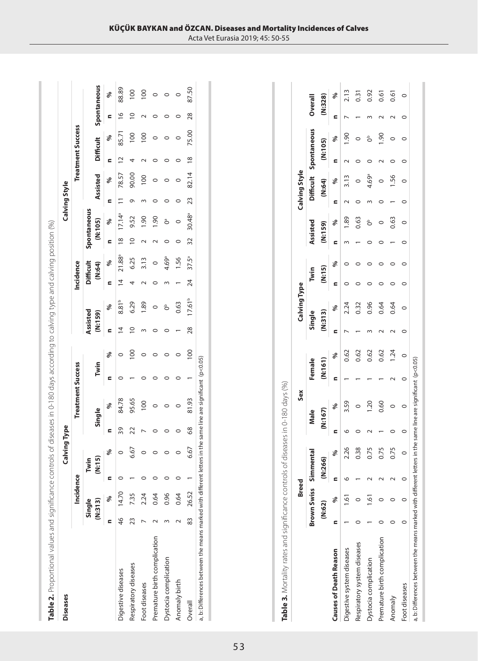| <b>Diseases</b>              |    |                   |   | <b>Calving Type</b> |    |                          |      |                  |                     |             |                |                            |                |                        | Calving Style |                |                |                          |                |                 |
|------------------------------|----|-------------------|---|---------------------|----|--------------------------|------|------------------|---------------------|-------------|----------------|----------------------------|----------------|------------------------|---------------|----------------|----------------|--------------------------|----------------|-----------------|
|                              |    | Incidence         |   |                     |    | <b>Treatment Success</b> |      |                  |                     |             | Incidence      |                            |                |                        |               |                |                | <b>Treatment Success</b> |                |                 |
|                              |    | Single<br>(N:313) | Ξ | ົດ<br>Twin          |    | Single                   | Twin |                  | Assisted<br>(N:159) |             |                | <b>Difficult</b><br>(N:64) |                | Spontaneous<br>(N:105) |               | Assisted       |                | <b>Difficult</b>         |                | Spontaneous     |
|                              | Ξ  | ℅                 | Ξ | ℅                   | Ξ  | శ                        | Ξ    | ℅                | Ξ                   | ℅           | Ξ              | ℅                          | Ξ              | ℅                      | Ξ             | ℅              |                | ℅                        |                | శ               |
| Digestive diseases           | 46 | 14.70             |   | $\circ$             | 39 | 84.78                    |      | $\circ$          | $\overline{4}$      | $8.81^{b}$  | $\overline{4}$ | 21.88ª                     | $\frac{8}{10}$ | $17.14^{a}$            |               | 78.57          | $\overline{c}$ | 85.71                    | $\frac{8}{1}$  | 88.89           |
| Respiratory diseases         | 23 | 7.35              |   | 6.67                | 22 | 95.65                    |      | $\overline{100}$ | $\overline{a}$      | 6.29        |                | 6.25                       | $\approx$      | 9.52                   | Ō             | 90.00          |                | $\overline{00}$          | $\overline{0}$ | $\overline{00}$ |
| Foot diseases                |    | 2.24              |   |                     |    | <b>PO1</b>               |      |                  |                     | 1.89        |                | 3.13                       |                | 0.61                   |               | $\overline{0}$ |                | $\frac{8}{100}$          |                | 100             |
| Premature birth complication |    | 0.64              |   |                     |    | $\circ$                  |      |                  |                     | $\circ$     |                | $\circ$                    |                | 06.1                   |               |                |                |                          |                | $\circ$         |
| Dystocia complication        |    | 0.96              |   |                     |    |                          |      |                  |                     | å           |                | 4.69ª                      |                | Ő                      |               |                |                |                          |                | $\circ$         |
| Anomaly birth                |    | 0.64              |   |                     |    | $\circ$                  |      |                  |                     | 0.63        |                | 1.56                       |                |                        |               |                |                |                          |                | $\circ$         |
| Overall                      | 83 | 26.52             |   | 6.67                | 68 | 81.93                    |      | $\overline{100}$ | 28                  | $17.61^{b}$ | 24             | $37.5^a$                   | 32             | 30.48 <sup>a</sup>     | 23            | 82.14          | $\frac{8}{2}$  | 75.00                    | 28             | 87.50           |

|                   |                                         | <b>Breed</b>   |               | Sex         |                  |  | <b>Calving Type</b> |                                                                               |  |  |  |
|-------------------|-----------------------------------------|----------------|---------------|-------------|------------------|--|---------------------|-------------------------------------------------------------------------------|--|--|--|
|                   |                                         |                |               | Male Female |                  |  |                     | Single Twin                                                                   |  |  |  |
|                   | 3rown Swiss Simmental<br>(N:62) (N:266) |                |               | (N:167)     | $(n!161)$<br>n % |  | $(N:313)$<br>n %    | Type<br>Twin Assisted Difficult Spo<br>(N:15) (N:159) (N:64)<br>n % n % n % n |  |  |  |
| ses of Death Reas | $\%$                                    | $\frac{96}{6}$ | $\frac{1}{2}$ |             |                  |  |                     |                                                                               |  |  |  |

**Table 3.** Mortality rates and significance controls of diseases in 0-180 days (%)

Table 3. Mortality rates and significance controls of diseases in 0-180 days (%)

|                                                                      | <b>Breed</b>                 |   |      | Sex                                      |         |      | <b>Calving Type</b> |        |  |          | alving Style |                       |             |         |
|----------------------------------------------------------------------|------------------------------|---|------|------------------------------------------|---------|------|---------------------|--------|--|----------|--------------|-----------------------|-------------|---------|
|                                                                      | <b>Brown Swiss</b> Simmental |   |      | Male                                     | Female  |      | Single              | Twin   |  | Assisted |              | Difficult Spontaneous |             | Dverall |
|                                                                      | (N:62)                       | ἒ | 266) | (N:167)                                  | (N:161) |      | (N:313)             | (N:15) |  | (N:159)  | (49:N)       | (N:105)               |             | (N:328) |
| <b>Causes of Death Reason</b>                                        |                              |   | ℅    |                                          |         |      | $\frac{6}{6}$       |        |  |          | $-66$        |                       |             |         |
| Digestive system diseases                                            | $\frac{61}{2}$               |   | 2.26 | 3.59                                     |         | 0.62 | 2.24                |        |  | 1.89     | 3.13         |                       | 1.90        | 2.13    |
| Respiratory system diseases                                          |                              |   | 0.38 |                                          |         | 0.62 | 0.32                |        |  | 0.63     |              |                       |             | 0.31    |
| Dystocia complication                                                | 1.61                         |   | 0.75 | $\frac{5}{20}$                           |         | 0.62 | 0.96                |        |  | ő        | 4.69ª        |                       |             | 0.92    |
| Premature birth complication                                         |                              |   | 0.75 | 0.60                                     |         | 0.62 | 0.64                |        |  |          |              |                       | <b>06.1</b> | 0.61    |
| Anomaly                                                              |                              |   | 0.75 |                                          |         | 1.24 | 0.64                |        |  | 0.63     | $-56$        |                       |             | 0.61    |
| Foot diseases                                                        |                              |   |      |                                          |         |      |                     |        |  |          |              |                       |             |         |
| a, b: Differences between the means marked with different letters in |                              |   |      | n the same line are significant (p<0.05) |         |      |                     |        |  |          |              |                       |             |         |

53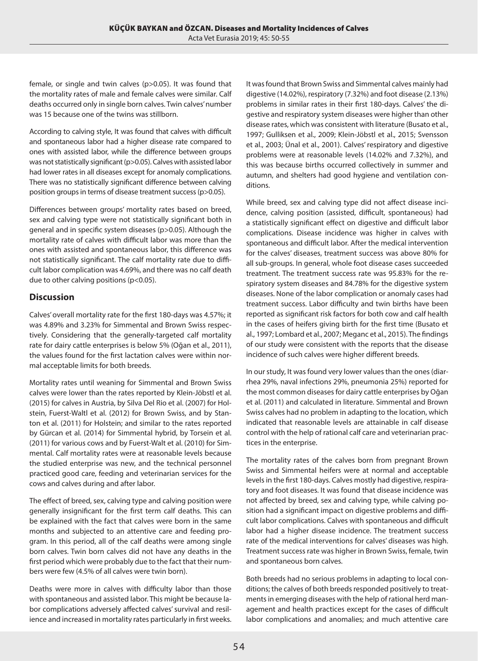female, or single and twin calves (p>0.05). It was found that the mortality rates of male and female calves were similar. Calf deaths occurred only in single born calves. Twin calves' number was 15 because one of the twins was stillborn.

According to calving style, It was found that calves with difficult and spontaneous labor had a higher disease rate compared to ones with assisted labor, while the difference between groups was not statistically significant (p>0.05). Calves with assisted labor had lower rates in all diseases except for anomaly complications. There was no statistically significant difference between calving position groups in terms of disease treatment success (p>0.05).

Differences between groups' mortality rates based on breed, sex and calving type were not statistically significant both in general and in specific system diseases (p>0.05). Although the mortality rate of calves with difficult labor was more than the ones with assisted and spontaneous labor, this difference was not statistically significant. The calf mortality rate due to difficult labor complication was 4.69%, and there was no calf death due to other calving positions (p<0.05).

# **Discussion**

Calves' overall mortality rate for the first 180-days was 4.57%; it was 4.89% and 3.23% for Simmental and Brown Swiss respectively. Considering that the generally-targeted calf mortality rate for dairy cattle enterprises is below 5% (Oğan et al., 2011), the values found for the first lactation calves were within normal acceptable limits for both breeds.

Mortality rates until weaning for Simmental and Brown Swiss calves were lower than the rates reported by Klein-Jöbstl et al. (2015) for calves in Austria, by Silva Del Rio et al. (2007) for Holstein, Fuerst-Waltl et al. (2012) for Brown Swiss, and by Stanton et al. (2011) for Holstein; and similar to the rates reported by Gürcan et al. (2014) for Simmental hybrid, by Torsein et al. (2011) for various cows and by Fuerst-Walt et al. (2010) for Simmental. Calf mortality rates were at reasonable levels because the studied enterprise was new, and the technical personnel practiced good care, feeding and veterinarian services for the cows and calves during and after labor.

The effect of breed, sex, calving type and calving position were generally insignificant for the first term calf deaths. This can be explained with the fact that calves were born in the same months and subjected to an attentive care and feeding program. In this period, all of the calf deaths were among single born calves. Twin born calves did not have any deaths in the first period which were probably due to the fact that their numbers were few (4.5% of all calves were twin born).

Deaths were more in calves with difficulty labor than those with spontaneous and assisted labor. This might be because labor complications adversely affected calves' survival and resilience and increased in mortality rates particularly in first weeks.

It was found that Brown Swiss and Simmental calves mainly had digestive (14.02%), respiratory (7.32%) and foot disease (2.13%) problems in similar rates in their first 180-days. Calves' the digestive and respiratory system diseases were higher than other disease rates, which was consistent with literature (Busato et al., 1997; Gulliksen et al., 2009; Klein-Jöbstl et al., 2015; Svensson et al., 2003; Ünal et al., 2001). Calves' respiratory and digestive problems were at reasonable levels (14.02% and 7.32%), and this was because births occurred collectively in summer and autumn, and shelters had good hygiene and ventilation conditions.

While breed, sex and calving type did not affect disease incidence, calving position (assisted, difficult, spontaneous) had a statistically significant effect on digestive and difficult labor complications. Disease incidence was higher in calves with spontaneous and difficult labor. After the medical intervention for the calves' diseases, treatment success was above 80% for all sub-groups. In general, whole foot disease cases succeeded treatment. The treatment success rate was 95.83% for the respiratory system diseases and 84.78% for the digestive system diseases. None of the labor complication or anomaly cases had treatment success. Labor difficulty and twin births have been reported as significant risk factors for both cow and calf health in the cases of heifers giving birth for the first time (Busato et al., 1997; Lombard et al., 2007; Meganc et al., 2015). The findings of our study were consistent with the reports that the disease incidence of such calves were higher different breeds.

In our study, It was found very lower values than the ones (diarrhea 29%, naval infections 29%, pneumonia 25%) reported for the most common diseases for dairy cattle enterprises by Oğan et al. (2011) and calculated in literature. Simmental and Brown Swiss calves had no problem in adapting to the location, which indicated that reasonable levels are attainable in calf disease control with the help of rational calf care and veterinarian practices in the enterprise.

The mortality rates of the calves born from pregnant Brown Swiss and Simmental heifers were at normal and acceptable levels in the first 180-days. Calves mostly had digestive, respiratory and foot diseases. It was found that disease incidence was not affected by breed, sex and calving type, while calving position had a significant impact on digestive problems and difficult labor complications. Calves with spontaneous and difficult labor had a higher disease incidence. The treatment success rate of the medical interventions for calves' diseases was high. Treatment success rate was higher in Brown Swiss, female, twin and spontaneous born calves.

Both breeds had no serious problems in adapting to local conditions; the calves of both breeds responded positively to treatments in emerging diseases with the help of rational herd management and health practices except for the cases of difficult labor complications and anomalies; and much attentive care